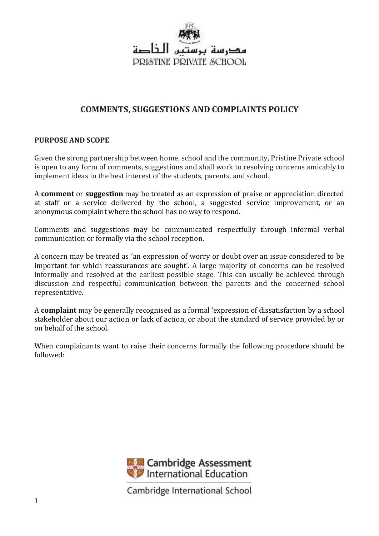

# **COMMENTS, SUGGESTIONS AND COMPLAINTS POLICY**

### **PURPOSE AND SCOPE**

Given the strong partnership between home, school and the community, Pristine Private school is open to any form of comments, suggestions and shall work to resolving concerns amicably to implement ideas in the best interest of the students, parents, and school.

A **comment** or **suggestion** may be treated as an expression of praise or appreciation directed at staff or a service delivered by the school, a suggested service improvement, or an anonymous complaint where the school has no way to respond.

Comments and suggestions may be communicated respectfully through informal verbal communication or formally via the school reception.

A concern may be treated as 'an expression of worry or doubt over an issue considered to be important for which reassurances are sought'. A large majority of concerns can be resolved informally and resolved at the earliest possible stage. This can usually be achieved through discussion and respectful communication between the parents and the concerned school representative.

A **complaint** may be generally recognised as a formal 'expression of dissatisfaction by a school stakeholder about our action or lack of action, or about the standard of service provided by or on behalf of the school.

When complainants want to raise their concerns formally the following procedure should be followed:

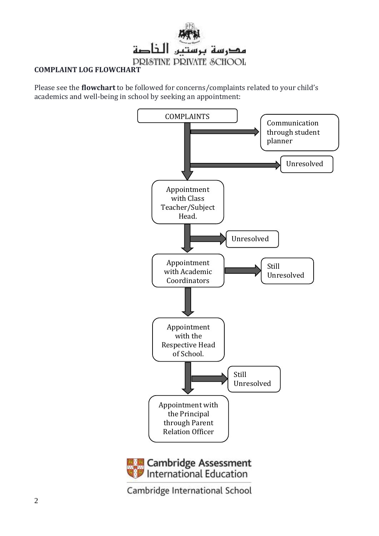

## **COMPLAINT LOG FLOWCHART**

Please see the **flowchart** to be followed for concerns/complaints related to your child's academics and well-being in school by seeking an appointment:

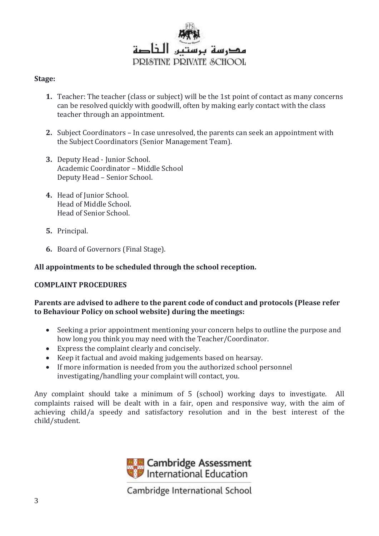

#### **Stage:**

- **1.** Teacher: The teacher (class or subject) will be the 1st point of contact as many concerns can be resolved quickly with goodwill, often by making early contact with the class teacher through an appointment.
- **2.** Subject Coordinators In case unresolved, the parents can seek an appointment with the Subject Coordinators (Senior Management Team).
- **3.** Deputy Head Junior School. Academic Coordinator – Middle School Deputy Head – Senior School.
- **4.** Head of Junior School. Head of Middle School. Head of Senior School.
- **5.** Principal.
- **6.** Board of Governors (Final Stage).

#### **All appointments to be scheduled through the school reception.**

#### **COMPLAINT PROCEDURES**

#### **Parents are advised to adhere to the parent code of conduct and protocols (Please refer to Behaviour Policy on school website) during the meetings:**

- Seeking a prior appointment mentioning your concern helps to outline the purpose and how long you think you may need with the Teacher/Coordinator.
- Express the complaint clearly and concisely.
- Keep it factual and avoid making judgements based on hearsay.
- If more information is needed from you the authorized school personnel investigating/handling your complaint will contact, you.

Any complaint should take a minimum of 5 (school) working days to investigate. All complaints raised will be dealt with in a fair, open and responsive way, with the aim of achieving child/a speedy and satisfactory resolution and in the best interest of the child/student.